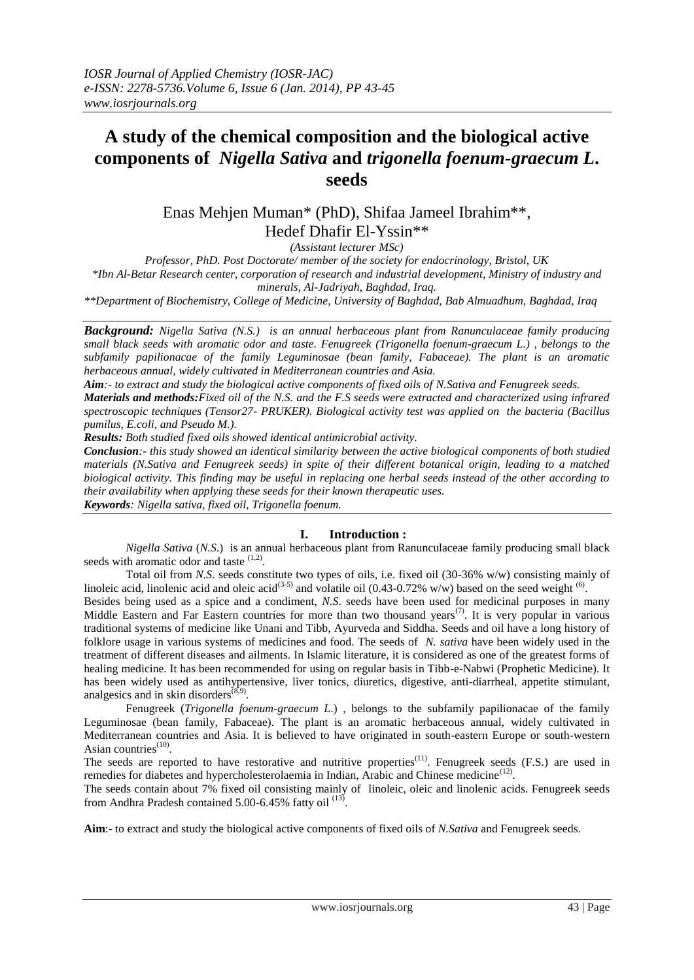# **A study of the chemical composition and the biological active components of** *Nigella Sativa* **and** *trigonella foenum-graecum L***. seeds**

Enas Mehjen Muman\* (PhD), Shifaa Jameel Ibrahim\*\*, Hedef Dhafir El-Yssin\*\*

*(Assistant lecturer MSc)*

*Professor, PhD. Post Doctorate/ member of the society for endocrinology, Bristol, UK \*Ibn Al-Betar Research center, corporation of research and industrial development, Ministry of industry and minerals, Al-Jadriyah, Baghdad, Iraq.*

*\*\*Department of Biochemistry, College of Medicine, University of Baghdad, Bab Almuadhum, Baghdad, Iraq*

*Background: Nigella Sativa (N.S.) is an annual herbaceous plant from Ranunculaceae family producing small black seeds with aromatic odor and taste. Fenugreek (Trigonella foenum-graecum L.) , belongs to the subfamily papilionacae of the family Leguminosae (bean family, Fabaceae). The plant is an aromatic herbaceous annual, widely cultivated in Mediterranean countries and Asia.*

*Aim:- to extract and study the biological active components of fixed oils of N.Sativa and Fenugreek seeds. Materials and methods:Fixed oil of the N.S. and the F.S seeds were extracted and characterized using infrared spectroscopic techniques (Tensor27- PRUKER). Biological activity test was applied on the bacteria (Bacillus pumilus, E.coli, and Pseudo M.).*

*Results: Both studied fixed oils showed identical antimicrobial activity.*

*Conclusion:- this study showed an identical similarity between the active biological components of both studied materials (N.Sativa and Fenugreek seeds) in spite of their different botanical origin, leading to a matched biological activity. This finding may be useful in replacing one herbal seeds instead of the other according to their availability when applying these seeds for their known therapeutic uses. Keywords: Nigella sativa, fixed oil, Trigonella foenum.*

# **I. Introduction :**

*Nigella Sativa* (*N.S*.) is an annual herbaceous plant from Ranunculaceae family producing small black seeds with aromatic odor and taste  $(1,2)$ .

Total oil from *N.S*. seeds constitute two types of oils, i.e. fixed oil (30-36% w/w) consisting mainly of linoleic acid, linolenic acid and oleic acid<sup>(3-5)</sup> and volatile oil (0.43-0.72% w/w) based on the seed weight <sup>(6)</sup>.

Besides being used as a spice and a condiment, *N.S*. seeds have been used for medicinal purposes in many Middle Eastern and Far Eastern countries for more than two thousand years<sup> $(7)$ </sup>. It is very popular in various traditional systems of medicine like Unani and Tibb, Ayurveda and Siddha. Seeds and oil have a long history of folklore usage in various systems of medicines and food. The seeds of *N. sativa* have been widely used in the treatment of different diseases and ailments. In Islamic literature, it is considered as one of the greatest forms of healing medicine. It has been recommended for using on regular basis in Tibb-e-Nabwi (Prophetic Medicine). It has been widely used as antihypertensive, liver tonics, diuretics, digestive, anti-diarrheal, appetite stimulant, analgesics and in skin disorders $(8,9)$ .

Fenugreek (*Trigonella foenum-graecum L*.) , belongs to the subfamily papilionacae of the family Leguminosae (bean family, Fabaceae). The plant is an aromatic herbaceous annual, widely cultivated in Mediterranean countries and Asia. It is believed to have originated in south-eastern Europe or south-western Asian countries<sup>(10)</sup>.

The seeds are reported to have restorative and nutritive properties<sup>(11)</sup>. Fenugreek seeds (F.S.) are used in remedies for diabetes and hypercholesterolaemia in Indian, Arabic and Chinese medicine<sup>(12)</sup>.

The seeds contain about 7% fixed oil consisting mainly of linoleic, oleic and linolenic acids. Fenugreek seeds from Andhra Pradesh contained  $5.00 - 6.45\%$  fatty oil  $^{(13)}$ .

**Aim**:- to extract and study the biological active components of fixed oils of *N.Sativa* and Fenugreek seeds.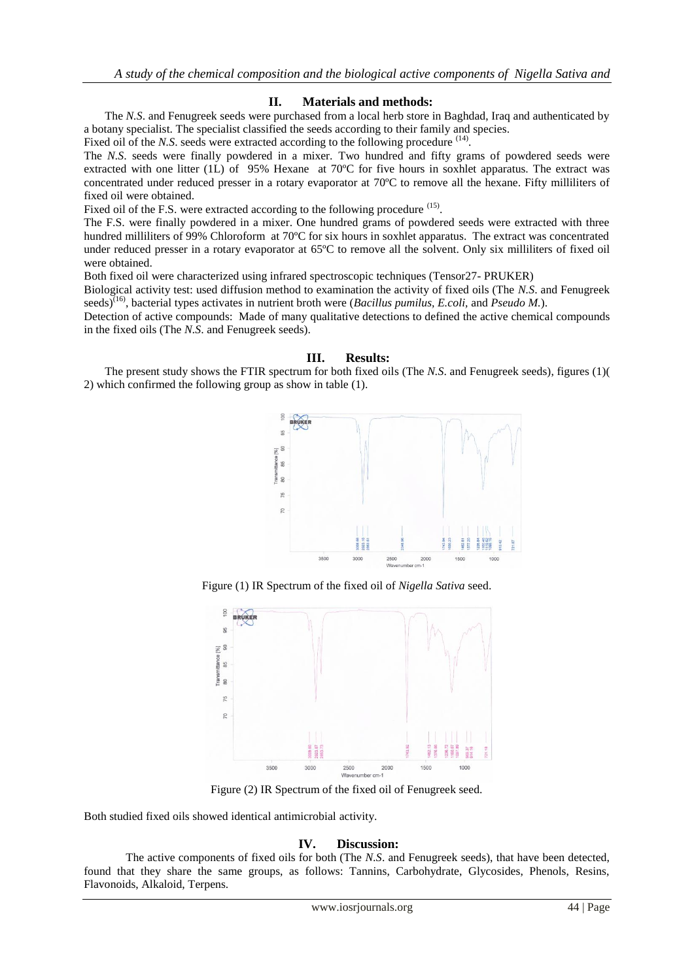## **II. Materials and methods:**

The *N.S*. and Fenugreek seeds were purchased from a local herb store in Baghdad, Iraq and authenticated by a botany specialist. The specialist classified the seeds according to their family and species.

Fixed oil of the *N.S.* seeds were extracted according to the following procedure <sup>(14)</sup>.

The *N.S*. seeds were finally powdered in a mixer. Two hundred and fifty grams of powdered seeds were extracted with one litter (1L) of 95% Hexane at 70ºC for five hours in soxhlet apparatus. The extract was concentrated under reduced presser in a rotary evaporator at 70ºC to remove all the hexane. Fifty milliliters of fixed oil were obtained.

Fixed oil of the F.S. were extracted according to the following procedure <sup>(15)</sup>.

The F.S. were finally powdered in a mixer. One hundred grams of powdered seeds were extracted with three hundred milliliters of 99% Chloroform at 70°C for six hours in soxhlet apparatus. The extract was concentrated under reduced presser in a rotary evaporator at 65ºC to remove all the solvent. Only six milliliters of fixed oil were obtained.

Both fixed oil were characterized using infrared spectroscopic techniques (Tensor27- PRUKER)

Biological activity test: used diffusion method to examination the activity of fixed oils (The *N.S*. and Fenugreek seeds)<sup>(16)</sup>, bacterial types activates in nutrient broth were (*Bacillus pumilus, E.coli,* and *Pseudo M.*).

Detection of active compounds: Made of many qualitative detections to defined the active chemical compounds in the fixed oils (The *N.S*. and Fenugreek seeds).

### **III. Results:**

The present study shows the FTIR spectrum for both fixed oils (The *N.S*. and Fenugreek seeds), figures (1)( 2) which confirmed the following group as show in table (1).



Figure (1) IR Spectrum of the fixed oil of *Nigella Sativa* seed.



Figure (2) IR Spectrum of the fixed oil of Fenugreek seed.

Both studied fixed oils showed identical antimicrobial activity.

### **IV. Discussion:**

The active components of fixed oils for both (The *N.S*. and Fenugreek seeds), that have been detected, found that they share the same groups, as follows: Tannins, Carbohydrate, Glycosides, Phenols, Resins, Flavonoids, Alkaloid, Terpens.